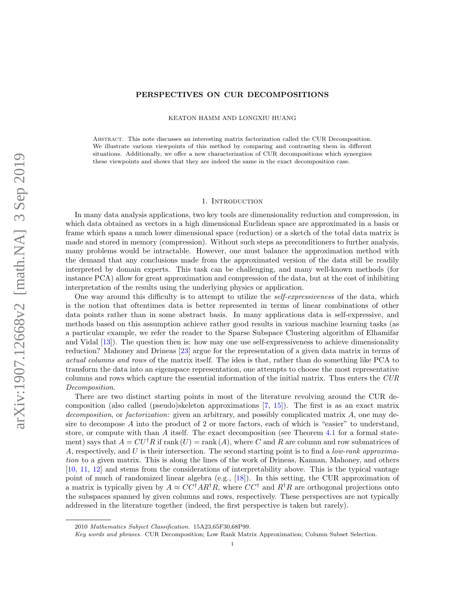# PERSPECTIVES ON CUR DECOMPOSITIONS

KEATON HAMM AND LONGXIU HUANG

Abstract. This note discusses an interesting matrix factorization called the CUR Decomposition. We illustrate various viewpoints of this method by comparing and contrasting them in different situations. Additionally, we offer a new characterization of CUR decompositions which synergizes these viewpoints and shows that they are indeed the same in the exact decomposition case.

## 1. INTRODUCTION

In many data analysis applications, two key tools are dimensionality reduction and compression, in which data obtained as vectors in a high dimensional Euclidean space are approximated in a basis or frame which spans a much lower dimensional space (reduction) or a sketch of the total data matrix is made and stored in memory (compression). Without such steps as preconditioners to further analysis, many problems would be intractable. However, one must balance the approximation method with the demand that any conclusions made from the approximated version of the data still be readily interpreted by domain experts. This task can be challenging, and many well-known methods (for instance PCA) allow for great approximation and compression of the data, but at the cost of inhibiting interpretation of the results using the underlying physics or application.

One way around this difficulty is to attempt to utilize the self-expressiveness of the data, which is the notion that oftentimes data is better represented in terms of linear combinations of other data points rather than in some abstract basis. In many applications data is self-expressive, and methods based on this assumption achieve rather good results in various machine learning tasks (as a particular example, we refer the reader to the Sparse Subspace Clustering algorithm of Elhamifar and Vidal [\[13\]](#page-10-0)). The question then is: how may one use self-expressiveness to achieve dimensionality reduction? Mahoney and Drineas [\[23\]](#page-10-1) argue for the representation of a given data matrix in terms of actual columns and rows of the matrix itself. The idea is that, rather than do something like PCA to transform the data into an eigenspace representation, one attempts to choose the most representative columns and rows which capture the essential information of the initial matrix. Thus enters the CUR Decomposition.

There are two distinct starting points in most of the literature revolving around the CUR decomposition (also called (pseudo)skeleton approximations [\[7,](#page-10-2) [15\]](#page-10-3)). The first is as an exact matrix decomposition, or factorization: given an arbitrary, and possibly complicated matrix A, one may desire to decompose A into the product of 2 or more factors, each of which is "easier" to understand, store, or compute with than A itself. The exact decomposition (see Theorem [4.1](#page-2-0) for a formal statement) says that  $A = CU^{\dagger}R$  if rank  $(U) = \text{rank}(A)$ , where C and R are column and row submatrices of A, respectively, and U is their intersection. The second starting point is to find a low-rank approximation to a given matrix. This is along the lines of the work of Drineas, Kannan, Mahoney, and others [\[10,](#page-10-4) [11,](#page-10-5) [12\]](#page-10-6) and stems from the considerations of interpretability above. This is the typical vantage point of much of randomized linear algebra (e.g., [\[18\]](#page-10-7)). In this setting, the CUR approximation of a matrix is typically given by  $A \approx CC^{\dagger}AR^{\dagger}R$ , where  $CC^{\dagger}$  and  $R^{\dagger}R$  are orthogonal projections onto the subspaces spanned by given columns and rows, respectively. These perspectives are not typically addressed in the literature together (indeed, the first perspective is taken but rarely).

<sup>2010</sup> Mathematics Subject Classification. 15A23,65F30,68P99.

Key words and phrases. CUR Decomposition; Low Rank Matrix Approximation; Column Subset Selection.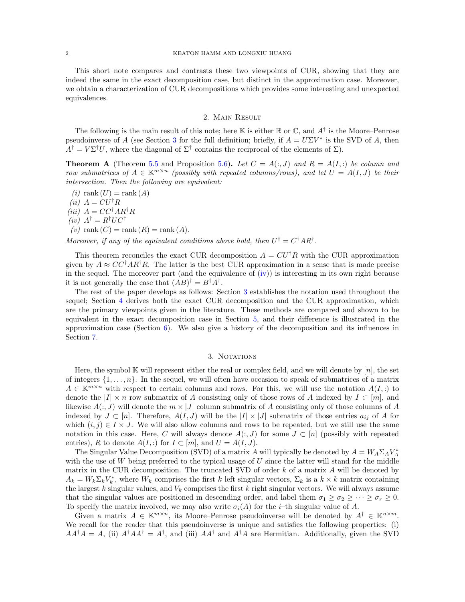This short note compares and contrasts these two viewpoints of CUR, showing that they are indeed the same in the exact decomposition case, but distinct in the approximation case. Moreover, we obtain a characterization of CUR decompositions which provides some interesting and unexpected equivalences.

# 2. Main Result

The following is the main result of this note; here K is either  $\mathbb R$  or  $\mathbb C$ , and  $A^{\dagger}$  is the Moore–Penrose pseudoinverse of A (see Section [3](#page-1-0) for the full definition; briefly, if  $A = U\Sigma V^*$  is the SVD of A, then  $A^{\dagger} = V \Sigma^{\dagger} U$ , where the diagonal of  $\Sigma^{\dagger}$  contains the reciprocal of the elements of  $\Sigma$ ).

**Theorem A** (Theorem [5.5](#page-6-0) and Proposition [5.6\)](#page-7-0). Let  $C = A(:,J)$  and  $R = A(I,:)$  be column and row submatrices of  $A \in \mathbb{K}^{m \times n}$  (possibly with repeated columns/rows), and let  $U = A(I, J)$  be their intersection. Then the following are equivalent:

- $(i)$  rank  $(U)$  = rank  $(A)$
- (ii)  $A = CU^{\dagger}R$
- (iii)  $A = CC^{\dagger}AR^{\dagger}R$

 $(iv)$   $A^{\dagger} = R^{\dagger}UC^{\dagger}$ 

(v) rank  $(C) = \text{rank}(R) = \text{rank}(A)$ .

Moreover, if any of the equivalent conditions above hold, then  $U^{\dagger} = C^{\dagger} A R^{\dagger}$ .

This theorem reconciles the exact CUR decomposition  $A = CU^{\dagger}R$  with the CUR approximation given by  $A \approx CC^{\dagger}AR^{\dagger}R$ . The latter is the best CUR approximation in a sense that is made precise in the sequel. The moreover part (and the equivalence of  $(iv)$ ) is interesting in its own right because it is not generally the case that  $(AB)^{\dagger} = B^{\dagger}A^{\dagger}$ .

The rest of the paper develops as follows: Section [3](#page-1-0) establishes the notation used throughout the sequel; Section [4](#page-2-1) derives both the exact CUR decomposition and the CUR approximation, which are the primary viewpoints given in the literature. These methods are compared and shown to be equivalent in the exact decomposition case in Section [5,](#page-6-1) and their difference is illustrated in the approximation case (Section  $6$ ). We also give a history of the decomposition and its influences in Section [7.](#page-8-1)

## 3. NOTATIONS

<span id="page-1-0"></span>Here, the symbol  $\mathbb K$  will represent either the real or complex field, and we will denote by  $[n]$ , the set of integers  $\{1, \ldots, n\}$ . In the sequel, we will often have occasion to speak of submatrices of a matrix  $A \in \mathbb{K}^{m \times n}$  with respect to certain columns and rows. For this, we will use the notation  $A(I,:)$  to denote the  $|I| \times n$  row submatrix of A consisting only of those rows of A indexed by  $I \subset [m]$ , and likewise  $A(:, J)$  will denote the  $m \times |J|$  column submatrix of A consisting only of those columns of A indexed by  $J \subset [n]$ . Therefore,  $A(I, J)$  will be the  $|I| \times |J|$  submatrix of those entries  $a_{ij}$  of A for which  $(i, j) \in I \times J$ . We will also allow columns and rows to be repeated, but we still use the same notation in this case. Here, C will always denote  $A(:, J)$  for some  $J \subset [n]$  (possibly with repeated entries), R to denote  $A(I,:)$  for  $I \subset [m]$ , and  $U = A(I, J)$ .

The Singular Value Decomposition (SVD) of a matrix A will typically be denoted by  $A = W_A \Sigma_A V_A^*$ with the use of W being preferred to the typical usage of U since the latter will stand for the middle matrix in the CUR decomposition. The truncated SVD of order  $k$  of a matrix  $A$  will be denoted by  $A_k = W_k \Sigma_k V_k^*$ , where  $W_k$  comprises the first k left singular vectors,  $\Sigma_k$  is a  $k \times k$  matrix containing the largest k singular values, and  $V_k$  comprises the first k right singular vectors. We will always assume that the singular values are positioned in descending order, and label them  $\sigma_1 \ge \sigma_2 \ge \cdots \ge \sigma_r \ge 0$ . To specify the matrix involved, we may also write  $\sigma_i(A)$  for the *i*–th singular value of A.

Given a matrix  $A \in \mathbb{K}^{m \times n}$ , its Moore–Penrose pseudoinverse will be denoted by  $A^{\dagger} \in \mathbb{K}^{n \times m}$ . We recall for the reader that this pseudoinverse is unique and satisfies the following properties: (i)  $AA^{\dagger}A = A$ , (ii)  $A^{\dagger}AA^{\dagger} = A^{\dagger}$ , and (iii)  $AA^{\dagger}$  and  $A^{\dagger}A$  are Hermitian. Additionally, given the SVD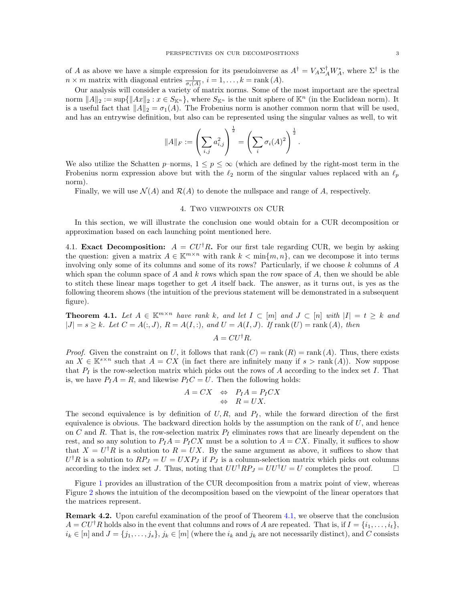of A as above we have a simple expression for its pseudoinverse as  $A^{\dagger} = V_A \Sigma_A^{\dagger} W_A^*$ , where  $\Sigma^{\dagger}$  is the  $n \times m$  matrix with diagonal entries  $\frac{1}{\sigma_i(A)}$ ,  $i = 1, \ldots, k = \text{rank}(A)$ .

Our analysis will consider a variety of matrix norms. Some of the most important are the spectral norm  $||A||_2 := \sup\{||Ax||_2 : x \in S_{\mathbb{K}^n}\}\$ , where  $S_{\mathbb{K}^n}$  is the unit sphere of  $\mathbb{K}^n$  (in the Euclidean norm). It is a useful fact that  $||A||_2 = \sigma_1(A)$ . The Frobenius norm is another common norm that will be used, and has an entrywise definition, but also can be represented using the singular values as well, to wit

$$
||A||_F := \left(\sum_{i,j} a_{i,j}^2\right)^{\frac{1}{2}} = \left(\sum_i \sigma_i(A)^2\right)^{\frac{1}{2}}
$$

.

We also utilize the Schatten p–norms,  $1 \leq p \leq \infty$  (which are defined by the right-most term in the Frobenius norm expression above but with the  $\ell_2$  norm of the singular values replaced with an  $\ell_p$ norm).

Finally, we will use  $\mathcal{N}(A)$  and  $\mathcal{R}(A)$  to denote the nullspace and range of A, respectively.

# 4. Two viewpoints on CUR

<span id="page-2-1"></span>In this section, we will illustrate the conclusion one would obtain for a CUR decomposition or approximation based on each launching point mentioned here.

4.1. Exact Decomposition:  $A = CU^{\dagger}R$ . For our first tale regarding CUR, we begin by asking the question: given a matrix  $A \in \mathbb{K}^{m \times n}$  with rank  $k < \min\{m, n\}$ , can we decompose it into terms involving only some of its columns and some of its rows? Particularly, if we choose  $k$  columns of  $A$ which span the column space of A and k rows which span the row space of A, then we should be able to stitch these linear maps together to get A itself back. The answer, as it turns out, is yes as the following theorem shows (the intuition of the previous statement will be demonstrated in a subsequent figure).

<span id="page-2-0"></span>**Theorem 4.1.** Let  $A \in \mathbb{K}^{m \times n}$  have rank k, and let  $I \subset [m]$  and  $J \subset [n]$  with  $|I| = t \geq k$  and  $|J| = s \ge k$ . Let  $C = A(:, J)$ ,  $R = A(I,:)$ , and  $U = A(I, J)$ . If rank  $(U) = \text{rank}(A)$ , then

 $A = CU^{\dagger}R$ .

*Proof.* Given the constraint on U, it follows that rank  $(C) = \text{rank}(R) = \text{rank}(A)$ . Thus, there exists an  $X \in \mathbb{K}^{s \times n}$  such that  $A = CX$  (in fact there are infinitely many if  $s > \text{rank}(A)$ ). Now suppose that  $P_I$  is the row-selection matrix which picks out the rows of A according to the index set I. That is, we have  $P_I A = R$ , and likewise  $P_I C = U$ . Then the following holds:

$$
A = CX \Leftrightarrow P_I A = P_I CX \n\Leftrightarrow R = UX.
$$

The second equivalence is by definition of  $U, R$ , and  $P<sub>I</sub>$ , while the forward direction of the first equivalence is obvious. The backward direction holds by the assumption on the rank of  $U$ , and hence on C and R. That is, the row-selection matrix  $P_I$  eliminates rows that are linearly dependent on the rest, and so any solution to  $P_I A = P_I C X$  must be a solution to  $A = C X$ . Finally, it suffices to show that  $X = U^{\dagger}R$  is a solution to  $R = UX$ . By the same argument as above, it suffices to show that  $U^{\dagger}R$  is a solution to  $RP_J = U = UXP_J$  if  $P_J$  is a column-selection matrix which picks out columns according to the index set J. Thus, noting that  $UU^{\dagger}RP_J = UU^{\dagger}U = U$  completes the proof.

Figure [1](#page-3-0) provides an illustration of the CUR decomposition from a matrix point of view, whereas Figure [2](#page-4-0) shows the intuition of the decomposition based on the viewpoint of the linear operators that the matrices represent.

<span id="page-2-2"></span>Remark 4.2. Upon careful examination of the proof of Theorem [4.1,](#page-2-0) we observe that the conclusion  $A = CU^{\dagger}R$  holds also in the event that columns and rows of A are repeated. That is, if  $I = \{i_1, \ldots, i_t\}$ ,  $i_k \in [n]$  and  $J = \{j_1, \ldots, j_s\}, j_k \in [m]$  (where the  $i_k$  and  $j_k$  are not necessarily distinct), and C consists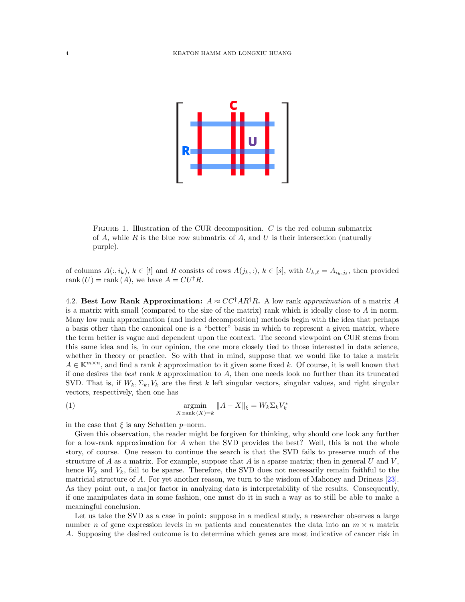<span id="page-3-0"></span>

FIGURE 1. Illustration of the CUR decomposition.  $C$  is the red column submatrix of A, while R is the blue row submatrix of A, and U is their intersection (naturally purple).

of columns  $A(:, i_k)$ ,  $k \in [t]$  and R consists of rows  $A(j_k, :)$ ,  $k \in [s]$ , with  $U_{k,\ell} = A_{i_k,j_\ell}$ , then provided rank  $(U) = \text{rank}(A)$ , we have  $A = CU^{\dagger}R$ .

4.2. Best Low Rank Approximation:  $A \approx CC^{\dagger}AR^{\dagger}R$ . A low rank approximation of a matrix A is a matrix with small (compared to the size of the matrix) rank which is ideally close to A in norm. Many low rank approximation (and indeed decomposition) methods begin with the idea that perhaps a basis other than the canonical one is a "better" basis in which to represent a given matrix, where the term better is vague and dependent upon the context. The second viewpoint on CUR stems from this same idea and is, in our opinion, the one more closely tied to those interested in data science, whether in theory or practice. So with that in mind, suppose that we would like to take a matrix  $A \in \mathbb{K}^{m \times n}$ , and find a rank k approximation to it given some fixed k. Of course, it is well known that if one desires the *best* rank k approximation to  $A$ , then one needs look no further than its truncated SVD. That is, if  $W_k, \Sigma_k, V_k$  are the first k left singular vectors, singular values, and right singular vectors, respectively, then one has

(1) 
$$
\operatorname*{argmin}_{X:\operatorname*{rank}(X)=k} \|A - X\|_{\xi} = W_k \Sigma_k V_k^*
$$

in the case that  $\xi$  is any Schatten p–norm.

Given this observation, the reader might be forgiven for thinking, why should one look any further for a low-rank approximation for A when the SVD provides the best? Well, this is not the whole story, of course. One reason to continue the search is that the SVD fails to preserve much of the structure of A as a matrix. For example, suppose that A is a sparse matrix; then in general U and V, hence  $W_k$  and  $V_k$ , fail to be sparse. Therefore, the SVD does not necessarily remain faithful to the matricial structure of A. For yet another reason, we turn to the wisdom of Mahoney and Drineas [\[23\]](#page-10-1). As they point out, a major factor in analyzing data is interpretability of the results. Consequently, if one manipulates data in some fashion, one must do it in such a way as to still be able to make a meaningful conclusion.

Let us take the SVD as a case in point: suppose in a medical study, a researcher observes a large number n of gene expression levels in m patients and concatenates the data into an  $m \times n$  matrix A. Supposing the desired outcome is to determine which genes are most indicative of cancer risk in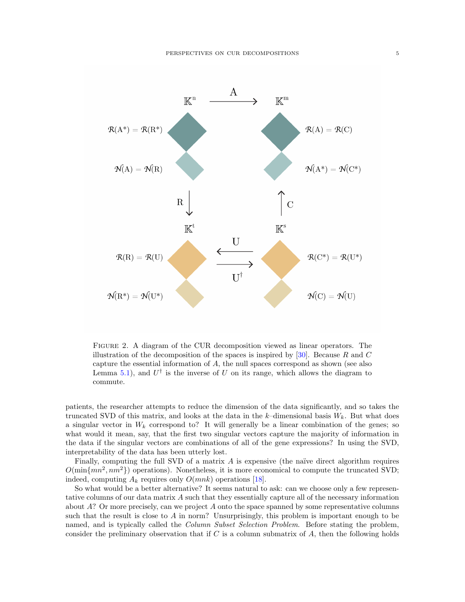<span id="page-4-0"></span>

Figure 2. A diagram of the CUR decomposition viewed as linear operators. The illustration of the decomposition of the spaces is inspired by [\[30\]](#page-10-8). Because R and C capture the essential information of A, the null spaces correspond as shown (see also Lemma [5.1\)](#page-6-2), and  $U^{\dagger}$  is the inverse of U on its range, which allows the diagram to commute.

patients, the researcher attempts to reduce the dimension of the data significantly, and so takes the truncated SVD of this matrix, and looks at the data in the  $k$ -dimensional basis  $W_k$ . But what does a singular vector in  $W_k$  correspond to? It will generally be a linear combination of the genes; so what would it mean, say, that the first two singular vectors capture the majority of information in the data if the singular vectors are combinations of all of the gene expressions? In using the SVD, interpretability of the data has been utterly lost.

Finally, computing the full SVD of a matrix  $A$  is expensive (the naïve direct algorithm requires  $O(\min\{mn^2, nm^2\})$  operations). Nonetheless, it is more economical to compute the truncated SVD; indeed, computing  $A_k$  requires only  $O(mnk)$  operations [\[18\]](#page-10-7).

So what would be a better alternative? It seems natural to ask: can we choose only a few representative columns of our data matrix A such that they essentially capture all of the necessary information about A? Or more precisely, can we project A onto the space spanned by some representative columns such that the result is close to A in norm? Unsurprisingly, this problem is important enough to be named, and is typically called the *Column Subset Selection Problem*. Before stating the problem, consider the preliminary observation that if  $C$  is a column submatrix of  $A$ , then the following holds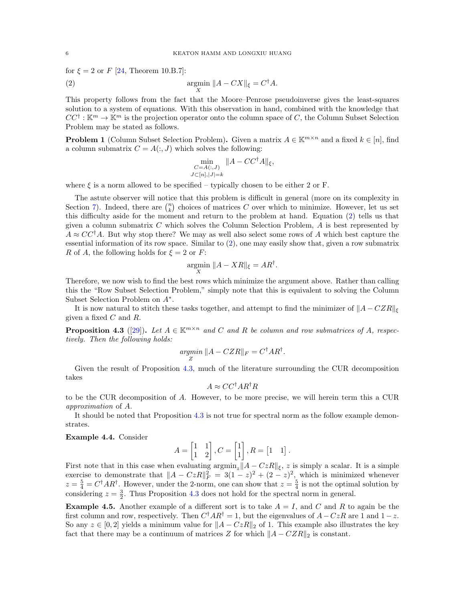for  $\xi = 2$  or  $F$  [\[24,](#page-10-9) Theorem 10.B.7]:

(2) 
$$
\operatorname*{argmin}_{X} \|A - CX\|_{\xi} = C^{\dagger} A.
$$

This property follows from the fact that the Moore–Penrose pseudoinverse gives the least-squares solution to a system of equations. With this observation in hand, combined with the knowledge that  $CC^{\dagger}$ :  $\mathbb{K}^m \to \mathbb{K}^m$  is the projection operator onto the column space of C, the Column Subset Selection Problem may be stated as follows.

**Problem 1** (Column Subset Selection Problem). Given a matrix  $A \in \mathbb{K}^{m \times n}$  and a fixed  $k \in [n]$ , find a column submatrix  $C = A(:, J)$  which solves the following:

<span id="page-5-0"></span>
$$
\min_{\substack{C=A(:,J)\\J\subset [n],|J|=k}} \|A-CC^{\dagger}A\|_{\xi},
$$

where  $\xi$  is a norm allowed to be specified – typically chosen to be either 2 or F.

The astute observer will notice that this problem is difficult in general (more on its complexity in Section [7\)](#page-8-1). Indeed, there are  $\binom{n}{k}$  choices of matrices C over which to minimize. However, let us set this difficulty aside for the moment and return to the problem at hand. Equation [\(2\)](#page-5-0) tells us that given a column submatrix  $C$  which solves the Column Selection Problem,  $A$  is best represented by  $A \approx CC^{\dagger}A$ . But why stop there? We may as well also select some rows of A which best capture the essential information of its row space. Similar to [\(2\)](#page-5-0), one may easily show that, given a row submatrix R of A, the following holds for  $\xi = 2$  or F:

$$
\underset{X}{\text{argmin}} \ \|A - XR\|_{\xi} = AR^{\dagger}.
$$

Therefore, we now wish to find the best rows which minimize the argument above. Rather than calling this the "Row Subset Selection Problem," simply note that this is equivalent to solving the Column Subset Selection Problem on A<sup>∗</sup> .

It is now natural to stitch these tasks together, and attempt to find the minimizer of  $||A - CZR||_{\xi}$ given a fixed  $C$  and  $R$ .

<span id="page-5-1"></span>**Proposition 4.3** ([\[29\]](#page-10-10)). Let  $A \in \mathbb{K}^{m \times n}$  and C and R be column and row submatrices of A, respectively. Then the following holds:

$$
\underset{Z}{argmin} \ \|A - CZR\|_F = C^{\dagger}AR^{\dagger}.
$$

Given the result of Proposition [4.3,](#page-5-1) much of the literature surrounding the CUR decomposition takes

$$
A \approx CC^{\dagger}AR^{\dagger}R
$$

to be the CUR decomposition of A. However, to be more precise, we will herein term this a CUR approximation of A.

It should be noted that Proposition [4.3](#page-5-1) is not true for spectral norm as the follow example demonstrates.

Example 4.4. Consider

$$
A = \begin{bmatrix} 1 & 1 \\ 1 & 2 \end{bmatrix}, C = \begin{bmatrix} 1 \\ 1 \end{bmatrix}, R = \begin{bmatrix} 1 & 1 \end{bmatrix}.
$$

First note that in this case when evaluating  $\argmin_z ||A - CzR||_{\xi}$ , z is simply a scalar. It is a simple exercise to demonstrate that  $||A - CzR||_F^2 = 3(1-z)^2 + (2-z)^2$ , which is minimized whenever  $z = \frac{5}{4} = C^{\dagger}AR^{\dagger}$ . However, under the 2-norm, one can show that  $z = \frac{5}{4}$  is not the optimal solution by considering  $z = \frac{3}{2}$ . Thus Proposition [4.3](#page-5-1) does not hold for the spectral norm in general.

**Example 4.5.** Another example of a different sort is to take  $A = I$ , and C and R to again be the first column and row, respectively. Then  $C^{\dagger}AR^{\dagger} = 1$ , but the eigenvalues of  $A-CzR$  are 1 and  $1-z$ . So any  $z \in [0,2]$  yields a minimum value for  $||A - CzR||_2$  of 1. This example also illustrates the key fact that there may be a continuum of matrices Z for which  $||A - CZR||_2$  is constant.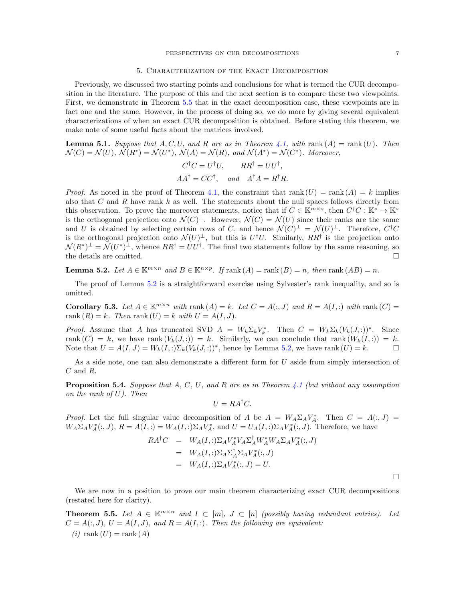# 5. Characterization of the Exact Decomposition

<span id="page-6-1"></span>Previously, we discussed two starting points and conclusions for what is termed the CUR decomposition in the literature. The purpose of this and the next section is to compare these two viewpoints. First, we demonstrate in Theorem [5.5](#page-6-0) that in the exact decomposition case, these viewpoints are in fact one and the same. However, in the process of doing so, we do more by giving several equivalent characterizations of when an exact CUR decomposition is obtained. Before stating this theorem, we make note of some useful facts about the matrices involved.

<span id="page-6-2"></span>**Lemma 5.1.** Suppose that A, C, U, and R are as in Theorem [4.1,](#page-2-0) with rank  $(A) = \text{rank}(U)$ . Then  $\mathcal{N}(C) = \mathcal{N}(U), \, \mathcal{N}(R^*) = \mathcal{N}(U^*), \, \mathcal{N}(A) = \mathcal{N}(R), \, \text{and } \mathcal{N}(A^*) = \mathcal{N}(C^*).$  Moreover,

$$
C^{\dagger}C = U^{\dagger}U
$$
,  $RR^{\dagger} = UU^{\dagger}$ ,  
\n $AA^{\dagger} = CC^{\dagger}$ , and  $A^{\dagger}A = R^{\dagger}R$ .

*Proof.* As noted in the proof of Theorem [4.1,](#page-2-0) the constraint that rank  $(U) = \text{rank}(A) = k$  implies also that C and R have rank  $k$  as well. The statements about the null spaces follows directly from this observation. To prove the moreover statements, notice that if  $C \in \mathbb{K}^{m \times s}$ , then  $C^{\dagger}C : \mathbb{K}^{s} \to \mathbb{K}^{s}$ is the orthogonal projection onto  $\mathcal{N}(C)^{\perp}$ . However,  $\mathcal{N}(C) = \mathcal{N}(U)$  since their ranks are the same and U is obtained by selecting certain rows of C, and hence  $\mathcal{N}(C)^{\perp} = \mathcal{N}(U)^{\perp}$ . Therefore,  $C^{\dagger}C$ is the orthogonal projection onto  $\mathcal{N}(U)^{\perp}$ , but this is  $U^{\dagger}U$ . Similarly,  $RR^{\dagger}$  is the projection onto  $\mathcal{N}(R^*)^{\perp} = \mathcal{N}(U^*)^{\perp}$ , whence  $RR^{\dagger} = U U^{\dagger}$ . The final two statements follow by the same reasoning, so the details are omitted.  $\square$ 

<span id="page-6-3"></span>**Lemma 5.2.** Let  $A \in \mathbb{K}^{m \times n}$  and  $B \in \mathbb{K}^{n \times p}$ . If  $\text{rank}(A) = \text{rank}(B) = n$ , then  $\text{rank}(AB) = n$ .

The proof of Lemma [5.2](#page-6-3) is a straightforward exercise using Sylvester's rank inequality, and so is omitted.

<span id="page-6-5"></span>Corollary 5.3. Let  $A \in \mathbb{K}^{m \times n}$  with rank  $(A) = k$ . Let  $C = A(:,J)$  and  $R = A(I,:)$  with rank  $(C) =$ rank  $(R) = k$ . Then rank  $(U) = k$  with  $U = A(I, J)$ .

*Proof.* Assume that A has truncated SVD  $A = W_k \Sigma_k V_k^*$ . Then  $C = W_k \Sigma_k (V_k(J,:))^*$ . Since rank  $(C) = k$ , we have rank  $(V_k(J,:)) = k$ . Similarly, we can conclude that rank  $(W_k(I,:)) = k$ . Note that  $U = A(I, J) = W_k(I, :)\Sigma_k(V_k(J, :))^*$ , hence by Lemma [5.2,](#page-6-3) we have rank  $(U) = k$ .

As a side note, one can also demonstrate a different form for U aside from simply intersection of C and R.

<span id="page-6-6"></span>**Proposition 5.4.** Suppose that A, C, U, and R are as in Theorem [4.1](#page-2-0) (but without any assumption on the rank of U). Then

$$
U = RA^{\dagger}C.
$$

*Proof.* Let the full singular value decomposition of A be  $A = W_A \Sigma_A V_A^*$ . Then  $C = A(:,J)$  $W_A \Sigma_A V_A^*(:,J), R = A(I,:)= W_A(I,:)\Sigma_A V_A^*$ , and  $U = U_A(I,:)\Sigma_A V_A^*(:,J)$ . Therefore, we have

$$
RA^{\dagger}C = W_A(I,:) \Sigma_A V_A^* V_A \Sigma_A^{\dagger} W_A^* W_A \Sigma_A V_A^*(:,J)
$$
  
= 
$$
W_A(I,:) \Sigma_A \Sigma_A^{\dagger} \Sigma_A V_A^*(:,J)
$$
  
= 
$$
W_A(I,:) \Sigma_A V_A^*(:,J) = U.
$$

 $\Box$ 

We are now in a position to prove our main theorem characterizing exact CUR decompositions (restated here for clarity).

<span id="page-6-4"></span><span id="page-6-0"></span>**Theorem 5.5.** Let  $A \in \mathbb{K}^{m \times n}$  and  $I \subset [m]$ ,  $J \subset [n]$  (possibly having redundant entries). Let  $C = A(:, J), U = A(I, J),$  and  $R = A(I,:)$ . Then the following are equivalent:  $(i)$  rank  $(U)$  = rank  $(A)$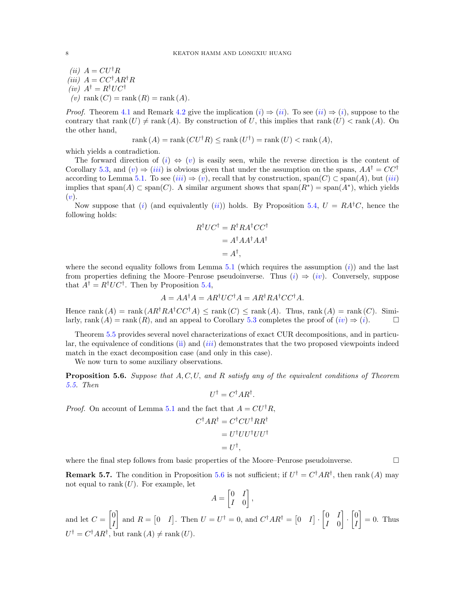<span id="page-7-4"></span><span id="page-7-2"></span><span id="page-7-1"></span>(ii)  $A = CU^{\dagger}R$ (iii)  $A = CC^{\dagger}AR^{\dagger}R$  $(iv)$   $A^{\dagger} = R^{\dagger}UC^{\dagger}$ (v) rank  $(C)$  = rank  $(R)$  = rank  $(A)$ .

<span id="page-7-3"></span>*Proof.* Theorem [4.1](#page-2-0) and Remark [4.2](#page-2-2) g[i](#page-6-4)ve the implication  $(i) \Rightarrow (ii)$  $(i) \Rightarrow (ii)$  $(i) \Rightarrow (ii)$ . To see  $(ii) \Rightarrow (i)$ , suppose to the contrary that rank  $(U) \neq \text{rank}(A)$ . By construction of U, this implies that rank  $(U) < \text{rank}(A)$ . On the other hand,

$$
rank(A) = rank(CU^{\dagger}R) \le rank(U^{\dagger}) = rank(U) < rank(A),
$$

which yields a contradiction.

The forward d[i](#page-6-4)rection of  $(i) \Leftrightarrow (v)$  $(i) \Leftrightarrow (v)$  $(i) \Leftrightarrow (v)$  is easily seen, while the reverse direction is the content of Corollary [5.3,](#page-6-5) and  $(v) \Rightarrow (iii)$  $(v) \Rightarrow (iii)$  $(v) \Rightarrow (iii)$  $(v) \Rightarrow (iii)$  $(v) \Rightarrow (iii)$  is obvious given that under the assumption on the spans,  $AA^{\dagger} = CC^{\dagger}$ according to Lemma [5.1.](#page-6-2) To see  $(iii) \Rightarrow (v)$  $(iii) \Rightarrow (v)$  $(iii) \Rightarrow (v)$  $(iii) \Rightarrow (v)$  $(iii) \Rightarrow (v)$ , recall that by construction, span $(C) \subset \text{span}(A)$ , but  $(iii)$ implies that span(A)  $\subset$  span(C). A similar argument shows that span( $R^*$ ) = span( $A^*$ ), which yields  $(v).$  $(v).$  $(v).$ 

Now suppose that ([i](#page-6-4)) (and equivalently ([ii](#page-7-2))) holds. By Proposition [5.4,](#page-6-6)  $U = RA^{\dagger}C$ , hence the following holds:

$$
R^{\dagger}UC^{\dagger} = R^{\dagger}RA^{\dagger}CC^{\dagger}
$$

$$
= A^{\dagger}AA^{\dagger}AA^{\dagger}
$$

$$
= A^{\dagger},
$$

where the second equality follows from Lemma [5.1](#page-6-2) (wh[i](#page-6-4)ch requires the assumption  $(i)$ ) and the last from propert[i](#page-6-4)es defining the Moore–Penrose pseudoinverse. Thus  $(i) \Rightarrow (iv)$  $(i) \Rightarrow (iv)$  $(i) \Rightarrow (iv)$ . Conversely, suppose that  $A^{\dagger} = R^{\dagger} U C^{\dagger}$ . Then by Proposition [5.4,](#page-6-6)

$$
A = AA^{\dagger}A = AR^{\dagger}UC^{\dagger}A = AR^{\dagger}RA^{\dagger}CC^{\dagger}A.
$$

Hence rank  $(A) = \text{rank}(AR^{\dagger}RA^{\dagger}CC^{\dagger}A) \leq \text{rank}(C) \leq \text{rank}(A)$ . Thus,  $\text{rank}(A) = \text{rank}(C)$ . Similarly, rank  $(A) = \text{rank}(R)$ , and an appeal to Corollary [5.3](#page-6-5) completes the proof of  $(iv) \Rightarrow (i)$  $(iv) \Rightarrow (i)$  $(iv) \Rightarrow (i)$  $(iv) \Rightarrow (i)$  $(iv) \Rightarrow (i)$ .

Theorem [5.5](#page-6-0) provides several novel characterizations of exact CUR decompositions, and in particu-lar, the equivalence of conditions [\(ii\)](#page-7-2) and  $(iii)$  $(iii)$  $(iii)$  demonstrates that the two proposed viewpoints indeed match in the exact decomposition case (and only in this case).

We now turn to some auxiliary observations.

<span id="page-7-0"></span>**Proposition 5.6.** Suppose that  $A, C, U$ , and  $R$  satisfy any of the equivalent conditions of Theorem [5.5.](#page-6-0) Then

$$
U^{\dagger} = C^{\dagger} A R^{\dagger}.
$$

*Proof.* On account of Lemma [5.1](#page-6-2) and the fact that  $A = CU^{\dagger}R$ ,

$$
^{\dagger}AR^{\dagger} = C^{\dagger}CU^{\dagger}RR^{\dagger}
$$

$$
= U^{\dagger}UU^{\dagger}UU^{\dagger}
$$

$$
= U^{\dagger},
$$

where the final step follows from basic properties of the Moore–Penrose pseudoinverse.  $\Box$ 

 $\mathcal{C}_{0}^{(n)}$ 

**Remark 5.7.** The condition in Proposition [5.6](#page-7-0) is not sufficient; if  $U^{\dagger} = C^{\dagger} A R^{\dagger}$ , then rank (A) may not equal to rank  $(U)$ . For example, let

$$
A = \begin{bmatrix} 0 & I \\ I & 0 \end{bmatrix},
$$

and let  $C = \begin{bmatrix} 0 \\ 0 \end{bmatrix}$ I and  $R = \begin{bmatrix} 0 & I \end{bmatrix}$ . Then  $U = U^{\dagger} = 0$ , and  $C^{\dagger}AR^{\dagger} = \begin{bmatrix} 0 & I \end{bmatrix} \cdot \begin{bmatrix} 0 & I \\ I & 0 \end{bmatrix}$ I 0  $\Big] \cdot \Big[ \begin{matrix} 0 \\ r \end{matrix}$ I  $\Big] = 0.$  Thus  $U^{\dagger} = C^{\dagger} A R^{\dagger}$ , but rank  $(A) \neq$  rank  $(U)$ .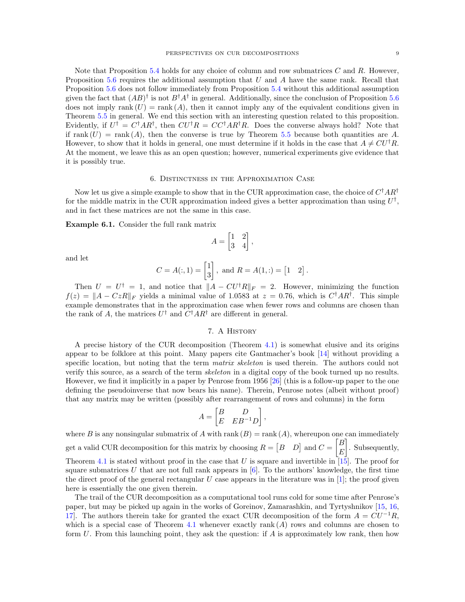Note that Proposition [5.4](#page-6-6) holds for any choice of column and row submatrices  $C$  and  $R$ . However, Proposition [5.6](#page-7-0) requires the additional assumption that U and A have the same rank. Recall that Proposition [5.6](#page-7-0) does not follow immediately from Proposition [5.4](#page-6-6) without this additional assumption given the fact that  $(AB)^{\dagger}$  is not  $B^{\dagger}A^{\dagger}$  in general. Additionally, since the conclusion of Proposition [5.6](#page-7-0) does not imply rank  $(U) = \text{rank}(A)$ , then it cannot imply any of the equivalent conditions given in Theorem [5.5](#page-6-0) in general. We end this section with an interesting question related to this proposition. Evidently, if  $U^{\dagger} = C^{\dagger}AR^{\dagger}$ , then  $CU^{\dagger}R = CC^{\dagger}AR^{\dagger}R$ . Does the converse always hold? Note that if rank  $(U)$  = rank  $(A)$ , then the converse is true by Theorem [5.5](#page-6-0) because both quantities are A. However, to show that it holds in general, one must determine if it holds in the case that  $A \neq C U^{\dagger}R$ . At the moment, we leave this as an open question; however, numerical experiments give evidence that it is possibly true.

## 6. Distinctness in the Approximation Case

<span id="page-8-0"></span>Now let us give a simple example to show that in the CUR approximation case, the choice of  $C^{\dagger}AR^{\dagger}$ for the middle matrix in the CUR approximation indeed gives a better approximation than using  $U^{\dagger}$ , and in fact these matrices are not the same in this case.

# Example 6.1. Consider the full rank matrix

$$
A = \begin{bmatrix} 1 & 2 \\ 3 & 4 \end{bmatrix},
$$

and let

$$
C = A(:, 1) = \begin{bmatrix} 1 \\ 3 \end{bmatrix}, \text{ and } R = A(1, :) = \begin{bmatrix} 1 & 2 \end{bmatrix}.
$$

Then  $U = U^{\dagger} = 1$ , and notice that  $||A - CU^{\dagger}R||_F = 2$ . However, minimizing the function  $f(z) = ||A - CzR||_F$  yields a minimal value of 1.0583 at  $z = 0.76$ , which is  $C^{\dagger}AR^{\dagger}$ . This simple example demonstrates that in the approximation case when fewer rows and columns are chosen than the rank of A, the matrices  $U^{\dagger}$  and  $C^{\dagger}AR^{\dagger}$  are different in general.

# 7. A History

<span id="page-8-1"></span>A precise history of the CUR decomposition (Theorem [4.1\)](#page-2-0) is somewhat elusive and its origins appear to be folklore at this point. Many papers cite Gantmacher's book [\[14\]](#page-10-11) without providing a specific location, but noting that the term *matrix skeleton* is used therein. The authors could not verify this source, as a search of the term skeleton in a digital copy of the book turned up no results. However, we find it implicitly in a paper by Penrose from 1956 [\[26\]](#page-10-12) (this is a follow-up paper to the one defining the pseudoinverse that now bears his name). Therein, Penrose notes (albeit without proof) that any matrix may be written (possibly after rearrangement of rows and columns) in the form

$$
A = \begin{bmatrix} B & D \\ E & EB^{-1}D \end{bmatrix},
$$

where B is any nonsingular submatrix of A with rank  $(B) = \text{rank}(A)$ , whereupon one can immediately get a valid CUR decomposition for this matrix by choosing  $R = \begin{bmatrix} B & D \end{bmatrix}$  and  $C = \begin{bmatrix} B & B \end{bmatrix}$ E . Subsequently, Theorem [4.1](#page-2-0) is stated without proof in the case that U is square and invertible in  $\overline{15}$ . The proof for square submatrices U that are not full rank appears in  $[6]$ . To the authors' knowledge, the first time the direct proof of the general rectangular U case appears in the literature was in [\[1\]](#page-9-0); the proof given here is essentially the one given therein.

The trail of the CUR decomposition as a computational tool runs cold for some time after Penrose's paper, but may be picked up again in the works of Goreinov, Zamarashkin, and Tyrtyshnikov [\[15,](#page-10-3) [16,](#page-10-14) [17\]](#page-10-15). The authors therein take for granted the exact CUR decomposition of the form  $A = CU^{-1}R$ , which is a special case of Theorem [4.1](#page-2-0) whenever exactly rank  $(A)$  rows and columns are chosen to form  $U$ . From this launching point, they ask the question: if  $A$  is approximately low rank, then how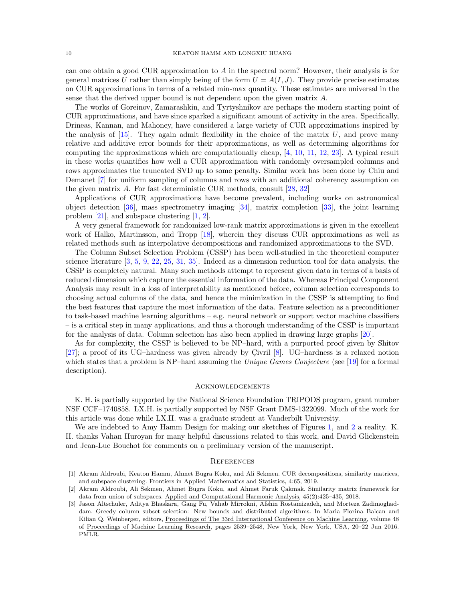can one obtain a good CUR approximation to A in the spectral norm? However, their analysis is for general matrices U rather than simply being of the form  $U = A(I, J)$ . They provide precise estimates on CUR approximations in terms of a related min-max quantity. These estimates are universal in the sense that the derived upper bound is not dependent upon the given matrix A.

The works of Goreinov, Zamarashkin, and Tyrtyshnikov are perhaps the modern starting point of CUR approximations, and have since sparked a significant amount of activity in the area. Specifically, Drineas, Kannan, and Mahoney, have considered a large variety of CUR approximations inspired by the analysis of  $[15]$ . They again admit flexibility in the choice of the matrix U, and prove many relative and additive error bounds for their approximations, as well as determining algorithms for computing the approximations which are computationally cheap, [\[4,](#page-10-16) [10,](#page-10-4) [11,](#page-10-5) [12,](#page-10-6) [23\]](#page-10-1). A typical result in these works quantifies how well a CUR approximation with randomly oversampled columns and rows approximates the truncated SVD up to some penalty. Similar work has been done by Chiu and Demanet [\[7\]](#page-10-2) for uniform sampling of columns and rows with an additional coherency assumption on the given matrix A. For fast deterministic CUR methods, consult [\[28,](#page-10-17) [32\]](#page-10-18)

Applications of CUR approximations have become prevalent, including works on astronomical object detection [\[36\]](#page-11-0), mass spectrometry imaging [\[34\]](#page-11-1), matrix completion [\[33\]](#page-10-19), the joint learning problem [\[21\]](#page-10-20), and subspace clustering [\[1,](#page-9-0) [2\]](#page-9-1).

A very general framework for randomized low-rank matrix approximations is given in the excellent work of Halko, Martinsson, and Tropp [\[18\]](#page-10-7), wherein they discuss CUR approximations as well as related methods such as interpolative decompositions and randomized approximations to the SVD.

The Column Subset Selection Problem (CSSP) has been well-studied in the theoretical computer science literature [\[3,](#page-9-2) [5,](#page-10-21) [9,](#page-10-22) [22,](#page-10-23) [25,](#page-10-24) [31,](#page-10-25) [35\]](#page-11-2). Indeed as a dimension reduction tool for data analysis, the CSSP is completely natural. Many such methods attempt to represent given data in terms of a basis of reduced dimension which capture the essential information of the data. Whereas Principal Component Analysis may result in a loss of interpretability as mentioned before, column selection corresponds to choosing actual columns of the data, and hence the minimization in the CSSP is attempting to find the best features that capture the most information of the data. Feature selection as a preconditioner to task-based machine learning algorithms – e.g. neural network or support vector machine classifiers – is a critical step in many applications, and thus a thorough understanding of the CSSP is important for the analysis of data. Column selection has also been applied in drawing large graphs [\[20\]](#page-10-26).

As for complexity, the CSSP is believed to be NP–hard, with a purported proof given by Shitov [\[27\]](#page-10-27); a proof of its UG–hardness was given already by Civril  $\lvert 8 \rvert$ . UG–hardness is a relaxed notion which states that a problem is NP–hard assuming the Unique Games Conjecture (see [\[19\]](#page-10-29) for a formal description).

## Acknowledgements

K. H. is partially supported by the National Science Foundation TRIPODS program, grant number NSF CCF–1740858. LX.H. is partially supported by NSF Grant DMS-1322099. Much of the work for this article was done while LX.H. was a graduate student at Vanderbilt University.

We are indebted to Amy Hamm Design for making our sketches of Figures [1,](#page-3-0) and [2](#page-4-0) a reality. K. H. thanks Vahan Huroyan for many helpful discussions related to this work, and David Glickenstein and Jean-Luc Bouchot for comments on a preliminary version of the manuscript.

## **REFERENCES**

- <span id="page-9-0"></span>[1] Akram Aldroubi, Keaton Hamm, Ahmet Bugra Koku, and Ali Sekmen. CUR decompositions, similarity matrices, and subspace clustering. Frontiers in Applied Mathematics and Statistics, 4:65, 2019.
- <span id="page-9-1"></span>[2] Akram Aldroubi, Ali Sekmen, Ahmet Bugra Koku, and Ahmet Faruk Çakmak. Similarity matrix framework for data from union of subspaces. Applied and Computational Harmonic Analysis, 45(2):425–435, 2018.
- <span id="page-9-2"></span>[3] Jason Altschuler, Aditya Bhaskara, Gang Fu, Vahab Mirrokni, Afshin Rostamizadeh, and Morteza Zadimoghaddam. Greedy column subset selection: New bounds and distributed algorithms. In Maria Florina Balcan and Kilian Q. Weinberger, editors, Proceedings of The 33rd International Conference on Machine Learning, volume 48 of Proceedings of Machine Learning Research, pages 2539–2548, New York, New York, USA, 20–22 Jun 2016. PMLR.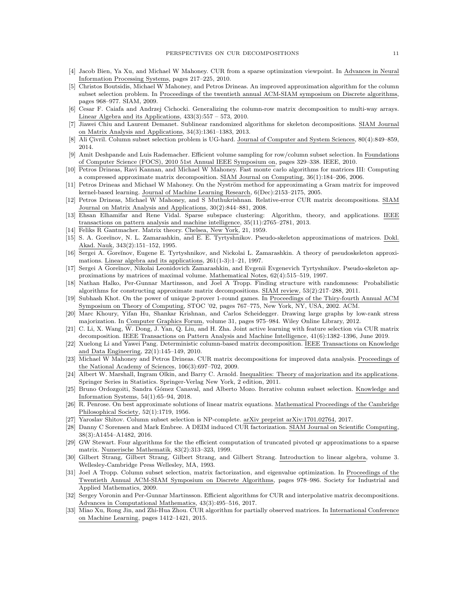- <span id="page-10-16"></span>[4] Jacob Bien, Ya Xu, and Michael W Mahoney. CUR from a sparse optimization viewpoint. In Advances in Neural Information Processing Systems, pages 217–225, 2010.
- <span id="page-10-21"></span>[5] Christos Boutsidis, Michael W Mahoney, and Petros Drineas. An improved approximation algorithm for the column subset selection problem. In Proceedings of the twentieth annual ACM-SIAM symposium on Discrete algorithms, pages 968–977. SIAM, 2009.
- <span id="page-10-13"></span>[6] Cesar F. Caiafa and Andrzej Cichocki. Generalizing the column-row matrix decomposition to multi-way arrays. Linear Algebra and its Applications, 433(3):557 – 573, 2010.
- <span id="page-10-2"></span>[7] Jiawei Chiu and Laurent Demanet. Sublinear randomized algorithms for skeleton decompositions. SIAM Journal on Matrix Analysis and Applications, 34(3):1361–1383, 2013.
- <span id="page-10-28"></span>[8] Ali Çivril. Column subset selection problem is UG-hard. Journal of Computer and System Sciences, 80(4):849–859, 2014.
- <span id="page-10-22"></span>[9] Amit Deshpande and Luis Rademacher. Efficient volume sampling for row/column subset selection. In Foundations of Computer Science (FOCS), 2010 51st Annual IEEE Symposium on, pages 329–338. IEEE, 2010.
- <span id="page-10-4"></span>[10] Petros Drineas, Ravi Kannan, and Michael W Mahoney. Fast monte carlo algorithms for matrices III: Computing a compressed approximate matrix decomposition. SIAM Journal on Computing, 36(1):184–206, 2006.
- <span id="page-10-5"></span>[11] Petros Drineas and Michael W Mahoney. On the Nyström method for approximating a Gram matrix for improved kernel-based learning. Journal of Machine Learning Research, 6(Dec):2153–2175, 2005.
- <span id="page-10-6"></span>[12] Petros Drineas, Michael W Mahoney, and S Muthukrishnan. Relative-error CUR matrix decompositions. SIAM Journal on Matrix Analysis and Applications, 30(2):844–881, 2008.
- <span id="page-10-0"></span>[13] Ehsan Elhamifar and Rene Vidal. Sparse subspace clustering: Algorithm, theory, and applications. IEEE transactions on pattern analysis and machine intelligence, 35(11):2765–2781, 2013.
- <span id="page-10-11"></span>[14] Feliks R Gantmacher. Matrix theory. Chelsea, New York, 21, 1959.
- <span id="page-10-3"></span>[15] S. A. Goreĭnov, N. L. Zamarashkin, and E. E. Tyrtyshnikov. Pseudo-skeleton approximations of matrices. Dokl. Akad. Nauk, 343(2):151–152, 1995.
- <span id="page-10-14"></span>[16] Sergei A. Gore˘ınov, Eugene E. Tyrtyshnikov, and Nickolai L. Zamarashkin. A theory of pseudoskeleton approximations. Linear algebra and its applications, 261(1-3):1–21, 1997.
- <span id="page-10-15"></span>[17] Sergei A Gore˘ınov, Nikolai Leonidovich Zamarashkin, and Evgenii Evgenevich Tyrtyshnikov. Pseudo-skeleton approximations by matrices of maximal volume. Mathematical Notes, 62(4):515–519, 1997.
- <span id="page-10-7"></span>[18] Nathan Halko, Per-Gunnar Martinsson, and Joel A Tropp. Finding structure with randomness: Probabilistic algorithms for constructing approximate matrix decompositions. SIAM review, 53(2):217–288, 2011.
- <span id="page-10-29"></span>[19] Subhash Khot. On the power of unique 2-prover 1-round games. In Proceedings of the Thiry-fourth Annual ACM Symposium on Theory of Computing, STOC '02, pages 767–775, New York, NY, USA, 2002. ACM.
- <span id="page-10-26"></span>[20] Marc Khoury, Yifan Hu, Shankar Krishnan, and Carlos Scheidegger. Drawing large graphs by low-rank stress majorization. In Computer Graphics Forum, volume 31, pages 975–984. Wiley Online Library, 2012.
- <span id="page-10-20"></span>[21] C. Li, X. Wang, W. Dong, J. Yan, Q. Liu, and H. Zha. Joint active learning with feature selection via CUR matrix decomposition. IEEE Transactions on Pattern Analysis and Machine Intelligence, 41(6):1382–1396, June 2019.
- <span id="page-10-23"></span>[22] Xuelong Li and Yawei Pang. Deterministic column-based matrix decomposition. IEEE Transactions on Knowledge and Data Engineering, 22(1):145–149, 2010.
- <span id="page-10-1"></span>[23] Michael W Mahoney and Petros Drineas. CUR matrix decompositions for improved data analysis. Proceedings of the National Academy of Sciences, 106(3):697–702, 2009.
- <span id="page-10-9"></span>[24] Albert W. Marshall, Ingram Olkin, and Barry C. Arnold. Inequalities: Theory of majorization and its applications. Springer Series in Statistics. Springer-Verlag New York, 2 edition, 2011.
- <span id="page-10-24"></span>[25] Bruno Ordozgoiti, Sandra Gómez Canaval, and Alberto Mozo. Iterative column subset selection. Knowledge and Information Systems, 54(1):65–94, 2018.
- <span id="page-10-12"></span>[26] R. Penrose. On best approximate solutions of linear matrix equations. Mathematical Proceedings of the Cambridge Philosophical Society, 52(1):1719, 1956.
- <span id="page-10-27"></span>[27] Yaroslav Shitov. Column subset selection is NP-complete. arXiv preprint arXiv:1701.02764, 2017.
- <span id="page-10-17"></span>[28] Danny C Sorensen and Mark Embree. A DEIM induced CUR factorization. SIAM Journal on Scientific Computing, 38(3):A1454–A1482, 2016.
- <span id="page-10-10"></span>[29] GW Stewart. Four algorithms for the the efficient computation of truncated pivoted qr approximations to a sparse matrix. Numerische Mathematik, 83(2):313–323, 1999.
- <span id="page-10-8"></span>[30] Gilbert Strang, Gilbert Strang, Gilbert Strang, and Gilbert Strang. Introduction to linear algebra, volume 3. Wellesley-Cambridge Press Wellesley, MA, 1993.
- <span id="page-10-25"></span>[31] Joel A Tropp. Column subset selection, matrix factorization, and eigenvalue optimization. In Proceedings of the Twentieth Annual ACM-SIAM Symposium on Discrete Algorithms, pages 978–986. Society for Industrial and Applied Mathematics, 2009.
- <span id="page-10-18"></span>[32] Sergey Voronin and Per-Gunnar Martinsson. Efficient algorithms for CUR and interpolative matrix decompositions. Advances in Computational Mathematics, 43(3):495–516, 2017.
- <span id="page-10-19"></span>[33] Miao Xu, Rong Jin, and Zhi-Hua Zhou. CUR algorithm for partially observed matrices. In International Conference on Machine Learning, pages 1412–1421, 2015.